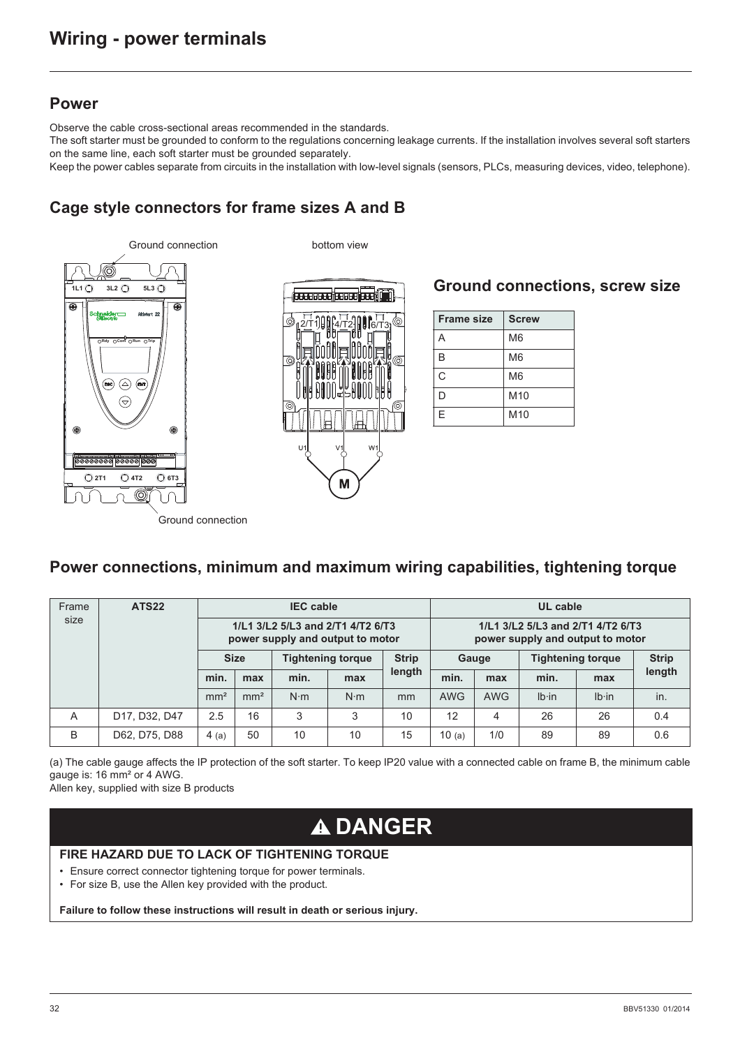#### **Power**

Observe the cable cross-sectional areas recommended in the standards.

The soft starter must be grounded to conform to the regulations concerning leakage currents. If the installation involves several soft starters on the same line, each soft starter must be grounded separately.

Keep the power cables separate from circuits in the installation with low-level signals (sensors, PLCs, measuring devices, video, telephone).

# **Cage style connectors for frame sizes A and B**



#### **Ground connections, screw size**

| <b>Frame size</b> | <b>Screw</b>    |
|-------------------|-----------------|
| А                 | M6              |
| B                 | M6              |
| Ć                 | M <sub>6</sub>  |
| D                 | M10             |
| E                 | M <sub>10</sub> |

Ground connection

### **Power connections, minimum and maximum wiring capabilities, tightening torque**

| Frame | ATS <sub>22</sub> | <b>IEC</b> cable                                                      |                 |             |                                          | UL cable |                                                                       |            |                          |               |              |
|-------|-------------------|-----------------------------------------------------------------------|-----------------|-------------|------------------------------------------|----------|-----------------------------------------------------------------------|------------|--------------------------|---------------|--------------|
| size  |                   | 1/L1 3/L2 5/L3 and 2/T1 4/T2 6/T3<br>power supply and output to motor |                 |             |                                          |          | 1/L1 3/L2 5/L3 and 2/T1 4/T2 6/T3<br>power supply and output to motor |            |                          |               |              |
|       |                   | <b>Size</b>                                                           |                 |             | <b>Strip</b><br><b>Tightening torque</b> |          | Gauge                                                                 |            | <b>Tightening torque</b> |               | <b>Strip</b> |
|       |                   | min.                                                                  | max             | min.        | max                                      | length   | min.                                                                  | max        | min.                     | max           | length       |
|       |                   | mm <sup>2</sup>                                                       | mm <sup>2</sup> | $N \cdot m$ | $N \cdot m$                              | mm       | <b>AWG</b>                                                            | <b>AWG</b> | $Ib \cdot in$            | $Ib \cdot in$ | in.          |
| A     | D17, D32, D47     | 2.5                                                                   | 16              | 3           | 3                                        | 10       | 12                                                                    | 4          | 26                       | 26            | 0.4          |
| B     | D62, D75, D88     | 4(a)                                                                  | 50              | 10          | 10                                       | 15       | 10(a)                                                                 | 1/0        | 89                       | 89            | 0.6          |

(a) The cable gauge affects the IP protection of the soft starter. To keep IP20 value with a connected cable on frame B, the minimum cable gauge is: 16 mm² or 4 AWG.

Allen key, supplied with size B products

# **DANGER**

#### **FIRE HAZARD DUE TO LACK OF TIGHTENING TORQUE**

- Ensure correct connector tightening torque for power terminals.
- For size B, use the Allen key provided with the product.

**Failure to follow these instructions will result in death or serious injury.**